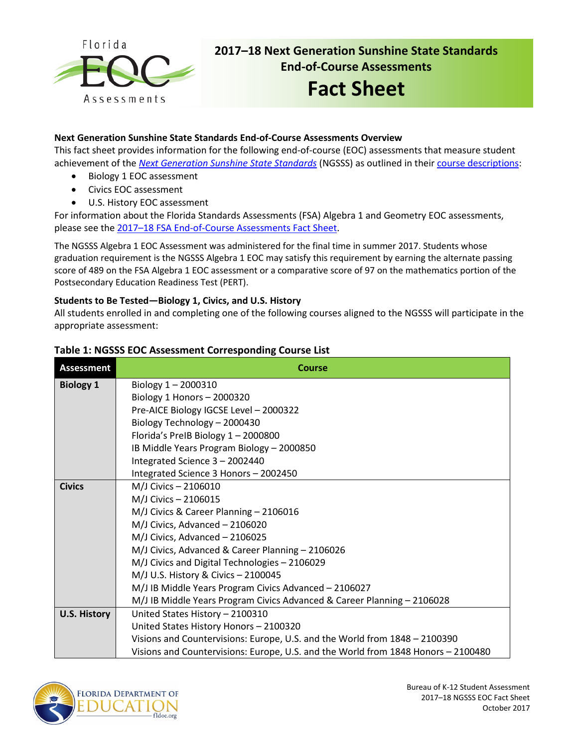

# **2017–18 Next Generation Sunshine State Standards End-of-Course Assessments**

# **Fact Sheet**

#### **Next Generation Sunshine State Standards End-of-Course Assessments Overview**

This fact sheet provides information for the following end-of-course (EOC) assessments that measure student achievement of the *[Next Generation Sunshine State Standards](http://www.floridastandards.org/index.aspx)* (NGSSS) as outlined in their [course descriptions:](http://www.cpalms.org/Public/search/Course#0)

- Biology 1 EOC assessment
- Civics EOC assessment
- U.S. History EOC assessment

For information about the Florida Standards Assessments (FSA) Algebra 1 and Geometry EOC assessments, please see the [2017–18 FSA End-of-Course Assessments](http://www.fldoe.org/core/fileparse.php/5663/urlt/FSAEOCFS1718.pdf) Fact Sheet.

The NGSSS Algebra 1 EOC Assessment was administered for the final time in summer 2017. Students whose graduation requirement is the NGSSS Algebra 1 EOC may satisfy this requirement by earning the alternate passing score of 489 on the FSA Algebra 1 EOC assessment or a comparative score of 97 on the mathematics portion of the Postsecondary Education Readiness Test (PERT).

#### **Students to Be Tested—Biology 1, Civics, and U.S. History**

All students enrolled in and completing one of the following courses aligned to the NGSSS will participate in the appropriate assessment:

| <b>Assessment</b>   | <b>Course</b>                                                                     |  |  |  |  |  |  |  |
|---------------------|-----------------------------------------------------------------------------------|--|--|--|--|--|--|--|
| <b>Biology 1</b>    | Biology $1 - 2000310$                                                             |  |  |  |  |  |  |  |
|                     | Biology 1 Honors - 2000320                                                        |  |  |  |  |  |  |  |
|                     | Pre-AICE Biology IGCSE Level - 2000322                                            |  |  |  |  |  |  |  |
|                     | Biology Technology - 2000430                                                      |  |  |  |  |  |  |  |
|                     | Florida's PreIB Biology 1-2000800                                                 |  |  |  |  |  |  |  |
|                     | IB Middle Years Program Biology - 2000850                                         |  |  |  |  |  |  |  |
|                     | Integrated Science 3 - 2002440                                                    |  |  |  |  |  |  |  |
|                     | Integrated Science 3 Honors - 2002450                                             |  |  |  |  |  |  |  |
| <b>Civics</b>       | M/J Civics - 2106010                                                              |  |  |  |  |  |  |  |
|                     | M/J Civics - 2106015                                                              |  |  |  |  |  |  |  |
|                     | M/J Civics & Career Planning - 2106016                                            |  |  |  |  |  |  |  |
|                     | M/J Civics, Advanced - 2106020                                                    |  |  |  |  |  |  |  |
|                     | M/J Civics, Advanced - 2106025                                                    |  |  |  |  |  |  |  |
|                     | M/J Civics, Advanced & Career Planning - 2106026                                  |  |  |  |  |  |  |  |
|                     | M/J Civics and Digital Technologies - 2106029                                     |  |  |  |  |  |  |  |
|                     | M/J U.S. History & Civics - 2100045                                               |  |  |  |  |  |  |  |
|                     | M/J IB Middle Years Program Civics Advanced - 2106027                             |  |  |  |  |  |  |  |
|                     | M/J IB Middle Years Program Civics Advanced & Career Planning - 2106028           |  |  |  |  |  |  |  |
| <b>U.S. History</b> | United States History - 2100310                                                   |  |  |  |  |  |  |  |
|                     | United States History Honors - 2100320                                            |  |  |  |  |  |  |  |
|                     | Visions and Countervisions: Europe, U.S. and the World from 1848 - 2100390        |  |  |  |  |  |  |  |
|                     | Visions and Countervisions: Europe, U.S. and the World from 1848 Honors - 2100480 |  |  |  |  |  |  |  |

#### **Table 1: NGSSS EOC Assessment Corresponding Course List**

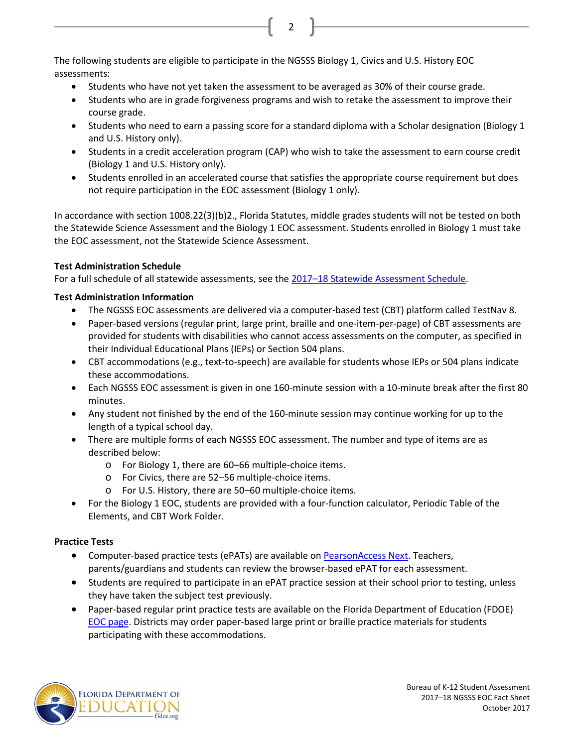The following students are eligible to participate in the NGSSS Biology 1, Civics and U.S. History EOC assessments:

- Students who have not yet taken the assessment to be averaged as 30% of their course grade.
- Students who are in grade forgiveness programs and wish to retake the assessment to improve their course grade.

2

- Students who need to earn a passing score for a standard diploma with a Scholar designation (Biology 1 and U.S. History only).
- Students in a credit acceleration program (CAP) who wish to take the assessment to earn course credit (Biology 1 and U.S. History only).
- Students enrolled in an accelerated course that satisfies the appropriate course requirement but does not require participation in the EOC assessment (Biology 1 only).

In accordance with section 1008.22(3)(b)2., Florida Statutes, middle grades students will not be tested on both the Statewide Science Assessment and the Biology 1 EOC assessment. Students enrolled in Biology 1 must take the EOC assessment, not the Statewide Science Assessment.

### **Test Administration Schedule**

For a full schedule of all statewide assessments, see the 2017-18 Statewide Assessment Schedule.

### **Test Administration Information**

- The NGSSS EOC assessments are delivered via a computer-based test (CBT) platform called TestNav 8.
- Paper-based versions (regular print, large print, braille and one-item-per-page) of CBT assessments are provided for students with disabilities who cannot access assessments on the computer, as specified in their Individual Educational Plans (IEPs) or Section 504 plans.
- CBT accommodations (e.g., text-to-speech) are available for students whose IEPs or 504 plans indicate these accommodations.
- Each NGSSS EOC assessment is given in one 160-minute session with a 10-minute break after the first 80 minutes.
- Any student not finished by the end of the 160-minute session may continue working for up to the length of a typical school day.
- There are multiple forms of each NGSSS EOC assessment. The number and type of items are as described below:
	- o For Biology 1, there are 60–66 multiple-choice items.
	- o For Civics, there are 52–56 multiple-choice items.
	- o For U.S. History, there are 50–60 multiple-choice items.
- For the Biology 1 EOC, students are provided with a four-function calculator, Periodic Table of the Elements, and CBT Work Folder.

## **Practice Tests**

- Computer-based practice tests (ePATs) are available on [PearsonAccess Next.](http://download.pearsonaccessnext.com/fl/fl-practicetest.html?links=true) Teachers, parents/guardians and students can review the browser-based ePAT for each assessment.
- Students are required to participate in an ePAT practice session at their school prior to testing, unless they have taken the subject test previously.
- Paper-based regular print practice tests are available on the Florida Department of Education (FDOE) [EOC page.](http://www.fldoe.org/accountability/assessments/k-12-student-assessment/end-of-course-eoc-assessments) Districts may order paper-based large print or braille practice materials for students participating with these accommodations.